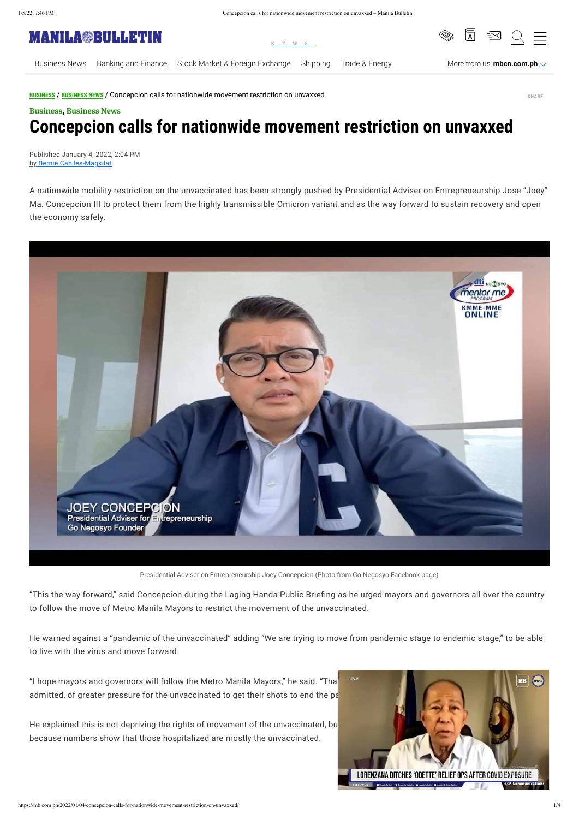**[BUSINESS](https://mb.com.ph/category/business/)** / **[BUSINESS NEWS](https://mb.com.ph/category/business/business-news/)** / Concepcion calls for nationwide movement restriction on unvaxxed

## , [Business](https://mb.com.ph/category/business/) [Business](https://mb.com.ph/category/business/business-news/) News **Concepcion calls for nationwide movement restriction on unvaxxed**

Published January 4, 2022, 2:04 PM by Bernie [Cahiles-Magkilat](https://mb.com.ph/author/berniemagkilat)

A nationwide mobility restriction on the unvaccinated has been strongly pushed by Presidential Adviser on Entrepreneurship Jose "Joey" Ma. Concepcion III to protect them from the highly transmissible Omicron variant and as the way forward to sustain recovery and open the economy safely.



Presidential Adviser on Entrepreneurship Joey Concepcion (Photo from Go Negosyo Facebook page)

He explained this is not depriving the rights of movement of the unvaccinated, bu because numbers show that those hospitalized are mostly the unvaccinated.



"This the way forward," said Concepcion during the Laging Handa Public Briefing as he urged mayors and governors all over the country to follow the move of Metro Manila Mayors to restrict the movement of the unvaccinated.

He warned against a "pandemic of the unvaccinated" adding "We are trying to move from pandemic stage to endemic stage," to be able to live with the virus and move forward.

"I hope mayors and governors will follow the Metro Manila Mayors," he said. "Tha $\blacksquare$ admitted, of greater pressure for the unvaccinated to get their shots to end the pa

**SHARE**